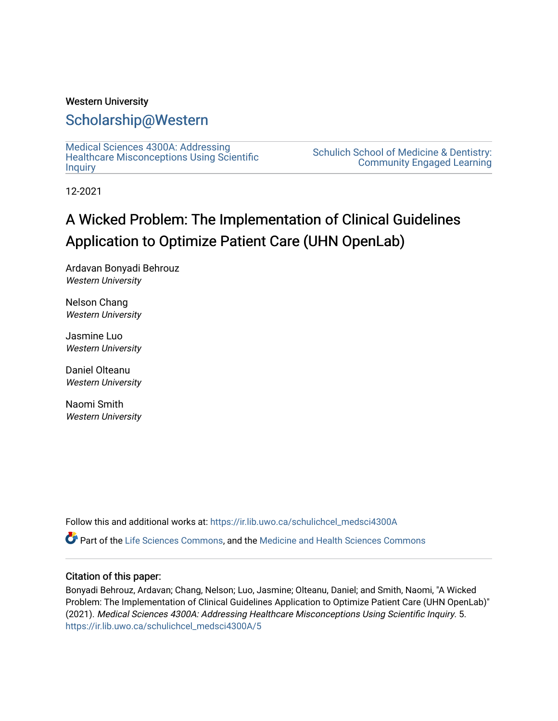### Western University

### [Scholarship@Western](https://ir.lib.uwo.ca/)

[Medical Sciences 4300A: Addressing](https://ir.lib.uwo.ca/schulichcel_medsci4300A)  [Healthcare Misconceptions Using Scientific](https://ir.lib.uwo.ca/schulichcel_medsci4300A) **[Inquiry](https://ir.lib.uwo.ca/schulichcel_medsci4300A)** 

[Schulich School of Medicine & Dentistry:](https://ir.lib.uwo.ca/schulichcel)  [Community Engaged Learning](https://ir.lib.uwo.ca/schulichcel) 

12-2021

### A Wicked Problem: The Implementation of Clinical Guidelines Application to Optimize Patient Care (UHN OpenLab)

Ardavan Bonyadi Behrouz Western University

Nelson Chang Western University

Jasmine Luo Western University

Daniel Olteanu Western University

Naomi Smith Western University

Follow this and additional works at: [https://ir.lib.uwo.ca/schulichcel\\_medsci4300A](https://ir.lib.uwo.ca/schulichcel_medsci4300A?utm_source=ir.lib.uwo.ca%2Fschulichcel_medsci4300A%2F5&utm_medium=PDF&utm_campaign=PDFCoverPages)

Part of the [Life Sciences Commons,](http://network.bepress.com/hgg/discipline/1016?utm_source=ir.lib.uwo.ca%2Fschulichcel_medsci4300A%2F5&utm_medium=PDF&utm_campaign=PDFCoverPages) and the [Medicine and Health Sciences Commons](http://network.bepress.com/hgg/discipline/648?utm_source=ir.lib.uwo.ca%2Fschulichcel_medsci4300A%2F5&utm_medium=PDF&utm_campaign=PDFCoverPages)

### Citation of this paper:

Bonyadi Behrouz, Ardavan; Chang, Nelson; Luo, Jasmine; Olteanu, Daniel; and Smith, Naomi, "A Wicked Problem: The Implementation of Clinical Guidelines Application to Optimize Patient Care (UHN OpenLab)" (2021). Medical Sciences 4300A: Addressing Healthcare Misconceptions Using Scientific Inquiry. 5. [https://ir.lib.uwo.ca/schulichcel\\_medsci4300A/5](https://ir.lib.uwo.ca/schulichcel_medsci4300A/5?utm_source=ir.lib.uwo.ca%2Fschulichcel_medsci4300A%2F5&utm_medium=PDF&utm_campaign=PDFCoverPages)